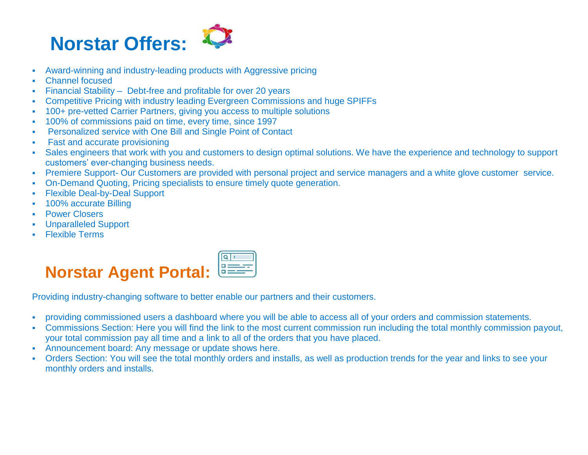

- Award-winning and industry-leading products with Aggressive pricing
- Channel focused
- Financial Stability Debt-free and profitable for over 20 years
- Competitive Pricing with industry leading Evergreen Commissions and huge SPIFFs
- 100+ pre-vetted Carrier Partners, giving you access to multiple solutions
- 100% of commissions paid on time, every time, since 1997
- Personalized service with One Bill and Single Point of Contact
- Fast and accurate provisioning
- Sales engineers that work with you and customers to design optimal solutions. We have the experience and technology to support customers' ever-changing business needs.
- Premiere Support- Our Customers are provided with personal project and service managers and a white glove customer service.
- On-Demand Quoting, Pricing specialists to ensure timely quote generation.
- Flexible Deal-by-Deal Support
- 100% accurate Billing
- Power Closers
- Unparalleled Support
- **Flexible Terms**



Providing industry-changing software to better enable our partners and their customers.

- providing commissioned users a dashboard where you will be able to access all of your orders and commission statements.
- Commissions Section: Here you will find the link to the most current commission run including the total monthly commission payout, your total commission pay all time and a link to all of the orders that you have placed.
- Announcement board: Any message or update shows here.
- Orders Section: You will see the total monthly orders and installs, as well as production trends for the year and links to see your monthly orders and installs.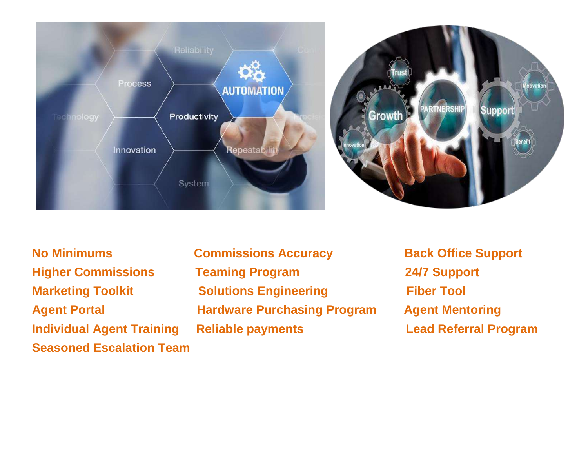



- **Seasoned Escalation Team**
- **No Minimums Commissions Accuracy Back Office Support Higher Commissions Teaming Program 24/7 Support Marketing Toolkit Solutions Engineering Fiber Tool Agent Portal Hardware Purchasing Program Agent Mentoring Individual Agent Training Reliable payments Lead Referral Program**
	-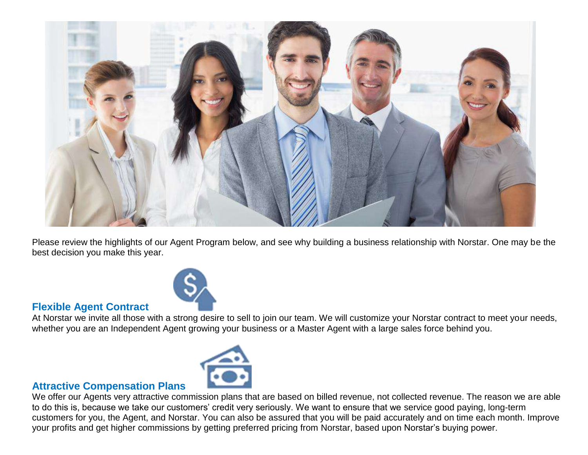

Please review the highlights of our Agent Program below, and see why building a business relationship with Norstar. One may be the best decision you make this year.



#### **Flexible Agent Contract**

At Norstar we invite all those with a strong desire to sell to join our team. We will customize your Norstar contract to meet your needs, whether you are an Independent Agent growing your business or a Master Agent with a large sales force behind you.



#### **Attractive Compensation Plans**

We offer our Agents very attractive commission plans that are based on billed revenue, not collected revenue. The reason we are able to do this is, because we take our customers' credit very seriously. We want to ensure that we service good paying, long-term customers for you, the Agent, and Norstar. You can also be assured that you will be paid accurately and on time each month. Improve your profits and get higher commissions by getting preferred pricing from Norstar, based upon Norstar's buying power.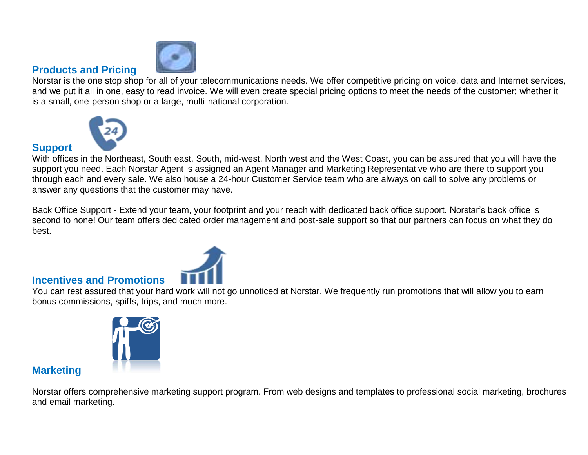

#### **Products and Pricing**

**Support** 

Norstar is the one stop shop for all of your telecommunications needs. We offer competitive pricing on voice, data and Internet services, and we put it all in one, easy to read invoice. We will even create special pricing options to meet the needs of the customer; whether it is a small, one-person shop or a large, multi-national corporation.



With offices in the Northeast, South east, South, mid-west, North west and the West Coast, you can be assured that you will have the support you need. Each Norstar Agent is assigned an Agent Manager and Marketing Representative who are there to support you through each and every sale. We also house a 24-hour Customer Service team who are always on call to solve any problems or answer any questions that the customer may have.

Back Office Support - Extend your team, your footprint and your reach with dedicated back office support. Norstar's back office is second to none! Our team offers dedicated order management and post-sale support so that our partners can focus on what they do best.



#### **Incentives and Promotions**

You can rest assured that your hard work will not go unnoticed at Norstar. We frequently run promotions that will allow you to earn bonus commissions, spiffs, trips, and much more.



#### **Marketing**

Norstar offers comprehensive marketing support program. From web designs and templates to professional social marketing, brochures and email marketing.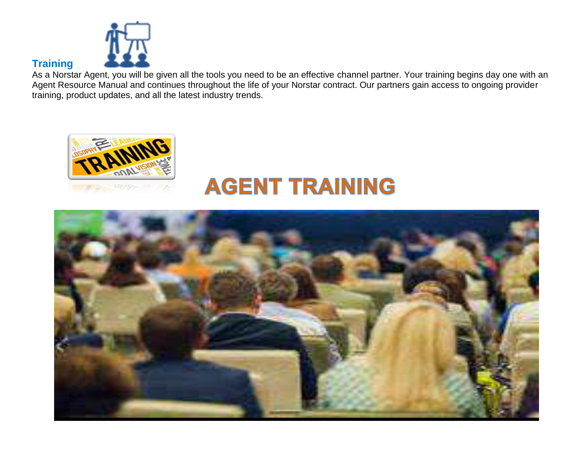

#### **Training**

As a Norstar Agent, you will be given all the tools you need to be an effective channel partner. Your training begins day one with an Agent Resource Manual and continues throughout the life of your Norstar contract. Our partners gain access to ongoing provider training, product updates, and all the latest industry trends.



## **AGENT TRAINING**

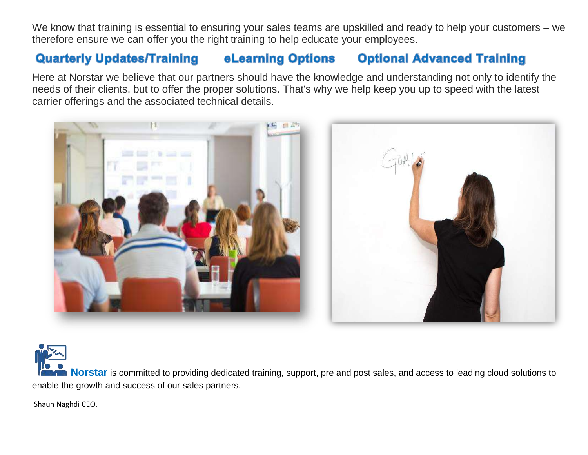We know that training is essential to ensuring your sales teams are upskilled and ready to help your customers – we therefore ensure we can offer you the right training to help educate your employees.

#### **Quarterly Updates/Training eLearning Options Optional Advanced Training**

Here at Norstar we believe that our partners should have the knowledge and understanding not only to identify the needs of their clients, but to offer the proper solutions. That's why we help keep you up to speed with the latest carrier offerings and the associated technical details.



**Norstar** is committed to providing dedicated training, support, pre and post sales, and access to leading cloud solutions to enable the growth and success of our sales partners.

Shaun Naghdi CEO.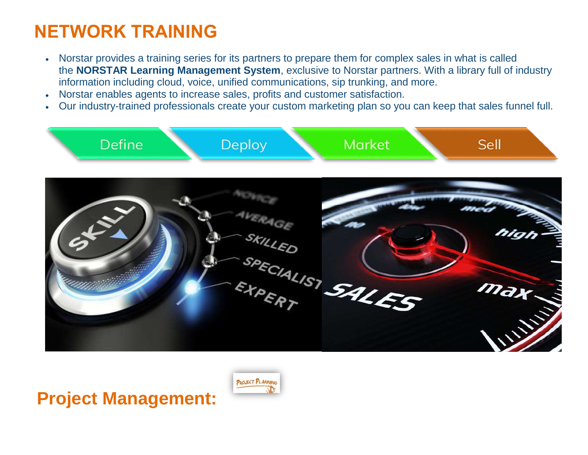### **NETWORK TRAINING**

- Norstar provides a training series for its partners to prepare them for complex sales in what is called the **NORSTAR Learning Management System**, exclusive to Norstar partners. With a library full of industry information including cloud, voice, unified communications, sip trunking, and more.
- Norstar enables agents to increase sales, profits and customer satisfaction.
- Our industry-trained professionals create your custom marketing plan so you can keep that sales funnel full.



### **Project Management:**

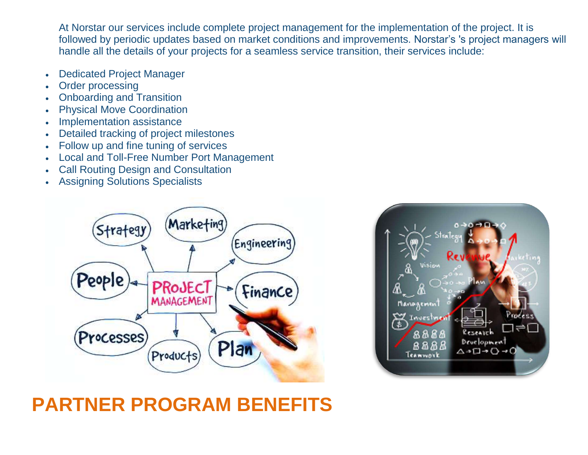At Norstar our services include complete project management for the implementation of the project. It is followed by periodic updates based on market conditions and improvements. Norstar's 's project managers will handle all the details of your projects for a seamless service transition, their services include:

- Dedicated Project Manager
- Order processing
- Onboarding and Transition
- Physical Move Coordination
- Implementation assistance
- Detailed tracking of project milestones
- Follow up and fine tuning of services
- Local and Toll-Free Number Port Management
- Call Routing Design and Consultation
- Assigning Solutions Specialists





### **PARTNER PROGRAM BENEFITS**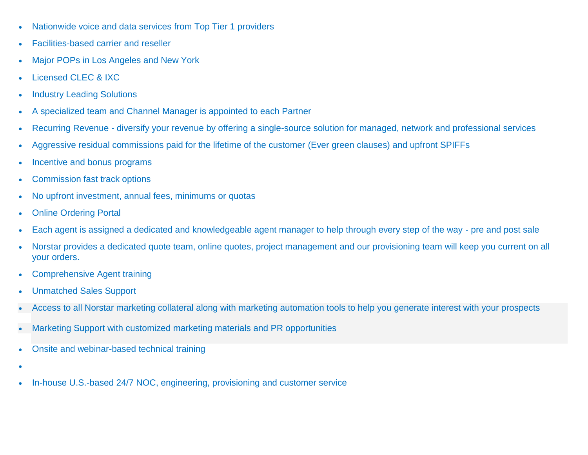- Nationwide voice and data services from Top Tier 1 providers
- Facilities-based carrier and reseller
- Major POPs in Los Angeles and New York
- Licensed CLEC & IXC
- Industry Leading Solutions
- A specialized team and Channel Manager is appointed to each Partner
- Recurring Revenue diversify your revenue by offering a single-source solution for managed, network and professional services
- Aggressive residual commissions paid for the lifetime of the customer (Ever green clauses) and upfront SPIFFs
- Incentive and bonus programs
- Commission fast track options
- No upfront investment, annual fees, minimums or quotas
- Online Ordering Portal
- Each agent is assigned a dedicated and knowledgeable agent manager to help through every step of the way pre and post sale
- Norstar provides a dedicated quote team, online quotes, project management and our provisioning team will keep you current on all your orders.
- Comprehensive Agent training
- Unmatched Sales Support
- Access to all Norstar marketing collateral along with marketing automation tools to help you generate interest with your prospects
- Marketing Support with customized marketing materials and PR opportunities
- Onsite and webinar-based technical training
- $\bullet$
- In-house U.S.-based 24/7 NOC, engineering, provisioning and customer service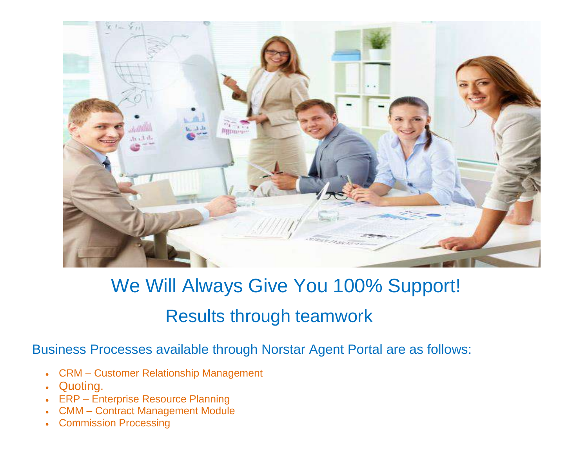

## We Will Always Give You 100% Support! Results through teamwork

Business Processes available through Norstar Agent Portal are as follows:

- CRM Customer Relationship Management
- Quoting.
- ERP Enterprise Resource Planning
- CMM Contract Management Module
- Commission Processing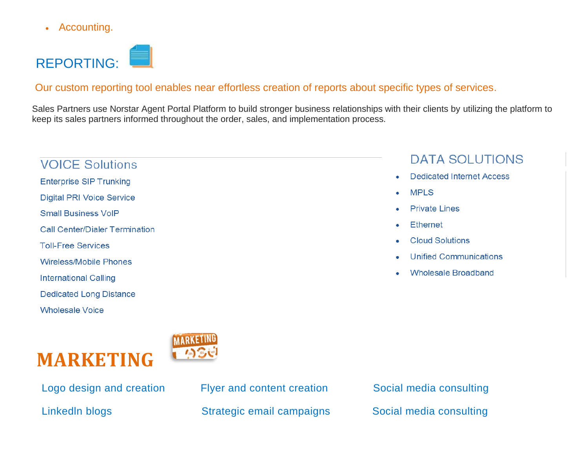• Accounting.



#### Our custom reporting tool enables near effortless creation of reports about specific types of services.

Sales Partners use Norstar Agent Portal Platform to build stronger business relationships with their clients by utilizing the platform to keep its sales partners informed throughout the order, sales, and implementation process.

#### **VOICE Solutions**

- **Enterprise SIP Trunking**
- **Digital PRI Voice Service**
- **Small Business VolP**
- **Call Center/Dialer Termination**
- **Toll-Free Services**
- Wireless/Mobile Phones
- **International Calling**
- **Dedicated Long Distance**
- **Wholesale Voice**

# **MARKETING**



Logo design and creation Flyer and content creation Social media consulting Linkedln blogs Strategic email campaigns Social media consulting

#### **MPIS** ٠

ä

- Private Lines  $\bullet$
- **Ethernet** ۰
- **Cloud Solutions**
- **Unified Communications** ۰

**DATA SOLUTIONS** 

**Dedicated Internet Access** 

**Wholesale Broadband**  $\bullet$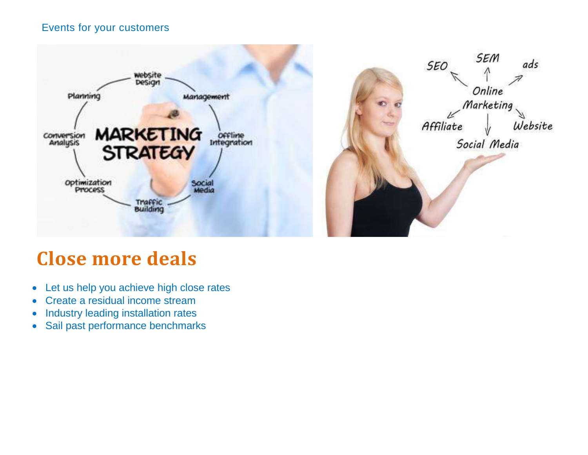#### Events for your customers



### **Close more deals**

- Let us help you achieve high close rates
- Create a residual income stream
- Industry leading installation rates
- Sail past performance benchmarks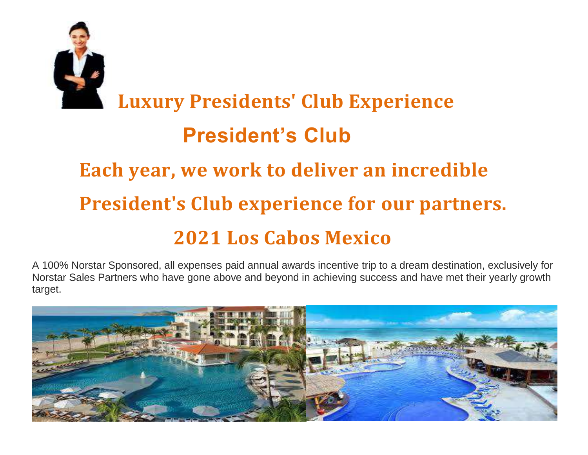

# **Luxury Presidents' Club Experience President's Club Each year, we work to deliver an incredible President's Club experience for our partners. 2021 Los Cabos Mexico**

A 100% Norstar Sponsored, all expenses paid annual awards incentive trip to a dream destination, exclusively for Norstar Sales Partners who have gone above and beyond in achieving success and have met their yearly growth target.

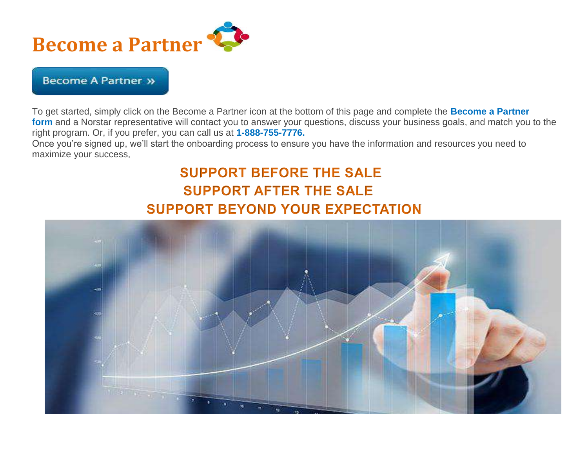

#### **Become A Partner »**

To get started, simply click on the Become a Partner icon at the bottom of this page and complete the **Become a Partner form** and a Norstar representative will contact you to answer your questions, discuss your business goals, and match you to the right program. Or, if you prefer, you can call us at **1-888-755-7776.**

Once you're signed up, we'll start the onboarding process to ensure you have the information and resources you need to maximize your success

### **SUPPORT BEFORE THE SALE SUPPORT AFTER THE SALE SUPPORT BEYOND YOUR EXPECTATION**

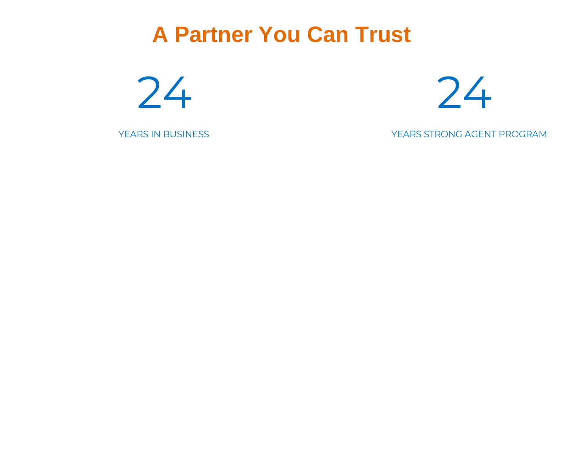### **A Partner You Can Trust**





YEARS IN BUSINESS

YEARS STRONG AGENT PROGRAM